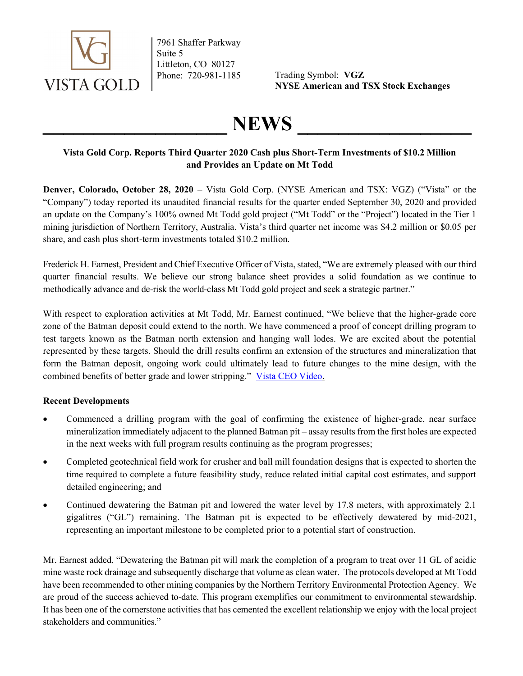

7961 Shaffer Parkway Suite 5 Littleton, CO 80127

Phone: 720-981-1185 Trading Symbol: VGZ NYSE American and TSX Stock Exchanges

# NEWS

# Vista Gold Corp. Reports Third Quarter 2020 Cash plus Short-Term Investments of \$10.2 Million and Provides an Update on Mt Todd

Denver, Colorado, October 28, 2020 – Vista Gold Corp. (NYSE American and TSX: VGZ) ("Vista" or the "Company") today reported its unaudited financial results for the quarter ended September 30, 2020 and provided an update on the Company's 100% owned Mt Todd gold project ("Mt Todd" or the "Project") located in the Tier 1 mining jurisdiction of Northern Territory, Australia. Vista's third quarter net income was \$4.2 million or \$0.05 per share, and cash plus short-term investments totaled \$10.2 million.

Frederick H. Earnest, President and Chief Executive Officer of Vista, stated, "We are extremely pleased with our third quarter financial results. We believe our strong balance sheet provides a solid foundation as we continue to methodically advance and de-risk the world-class Mt Todd gold project and seek a strategic partner."

With respect to exploration activities at Mt Todd, Mr. Earnest continued, "We believe that the higher-grade core zone of the Batman deposit could extend to the north. We have commenced a proof of concept drilling program to test targets known as the Batman north extension and hanging wall lodes. We are excited about the potential represented by these targets. Should the drill results confirm an extension of the structures and mineralization that form the Batman deposit, ongoing work could ultimately lead to future changes to the mine design, with the combined benefits of better grade and lower stripping." Vista CEO Video.

# Recent Developments

- Commenced a drilling program with the goal of confirming the existence of higher-grade, near surface mineralization immediately adjacent to the planned Batman pit – assay results from the first holes are expected in the next weeks with full program results continuing as the program progresses;
- Completed geotechnical field work for crusher and ball mill foundation designs that is expected to shorten the time required to complete a future feasibility study, reduce related initial capital cost estimates, and support detailed engineering; and
- Continued dewatering the Batman pit and lowered the water level by 17.8 meters, with approximately 2.1 gigalitres ("GL") remaining. The Batman pit is expected to be effectively dewatered by mid-2021, representing an important milestone to be completed prior to a potential start of construction.

Mr. Earnest added, "Dewatering the Batman pit will mark the completion of a program to treat over 11 GL of acidic mine waste rock drainage and subsequently discharge that volume as clean water. The protocols developed at Mt Todd have been recommended to other mining companies by the Northern Territory Environmental Protection Agency. We are proud of the success achieved to-date. This program exemplifies our commitment to environmental stewardship. It has been one of the cornerstone activities that has cemented the excellent relationship we enjoy with the local project stakeholders and communities."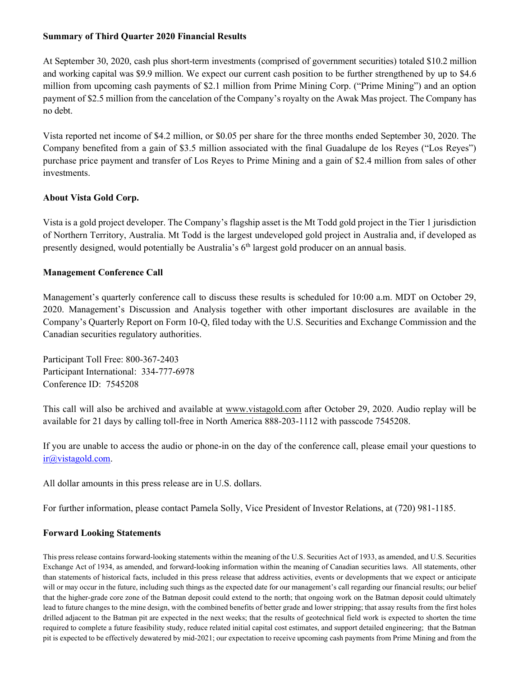#### Summary of Third Quarter 2020 Financial Results

At September 30, 2020, cash plus short-term investments (comprised of government securities) totaled \$10.2 million and working capital was \$9.9 million. We expect our current cash position to be further strengthened by up to \$4.6 million from upcoming cash payments of \$2.1 million from Prime Mining Corp. ("Prime Mining") and an option payment of \$2.5 million from the cancelation of the Company's royalty on the Awak Mas project. The Company has no debt.

Vista reported net income of \$4.2 million, or \$0.05 per share for the three months ended September 30, 2020. The Company benefited from a gain of \$3.5 million associated with the final Guadalupe de los Reyes ("Los Reyes") purchase price payment and transfer of Los Reyes to Prime Mining and a gain of \$2.4 million from sales of other investments.

## About Vista Gold Corp.

Vista is a gold project developer. The Company's flagship asset is the Mt Todd gold project in the Tier 1 jurisdiction of Northern Territory, Australia. Mt Todd is the largest undeveloped gold project in Australia and, if developed as presently designed, would potentially be Australia's  $6<sup>th</sup>$  largest gold producer on an annual basis.

## Management Conference Call

Management's quarterly conference call to discuss these results is scheduled for 10:00 a.m. MDT on October 29, 2020. Management's Discussion and Analysis together with other important disclosures are available in the Company's Quarterly Report on Form 10-Q, filed today with the U.S. Securities and Exchange Commission and the Canadian securities regulatory authorities.

Participant Toll Free: 800-367-2403 Participant International: 334-777-6978 Conference ID: 7545208

This call will also be archived and available at www.vistagold.com after October 29, 2020. Audio replay will be available for 21 days by calling toll-free in North America 888-203-1112 with passcode 7545208.

If you are unable to access the audio or phone-in on the day of the conference call, please email your questions to ir@vistagold.com.

All dollar amounts in this press release are in U.S. dollars.

For further information, please contact Pamela Solly, Vice President of Investor Relations, at (720) 981-1185.

## Forward Looking Statements

This press release contains forward-looking statements within the meaning of the U.S. Securities Act of 1933, as amended, and U.S. Securities Exchange Act of 1934, as amended, and forward-looking information within the meaning of Canadian securities laws. All statements, other than statements of historical facts, included in this press release that address activities, events or developments that we expect or anticipate will or may occur in the future, including such things as the expected date for our management's call regarding our financial results; our belief that the higher-grade core zone of the Batman deposit could extend to the north; that ongoing work on the Batman deposit could ultimately lead to future changes to the mine design, with the combined benefits of better grade and lower stripping; that assay results from the first holes drilled adjacent to the Batman pit are expected in the next weeks; that the results of geotechnical field work is expected to shorten the time required to complete a future feasibility study, reduce related initial capital cost estimates, and support detailed engineering; that the Batman pit is expected to be effectively dewatered by mid-2021; our expectation to receive upcoming cash payments from Prime Mining and from the